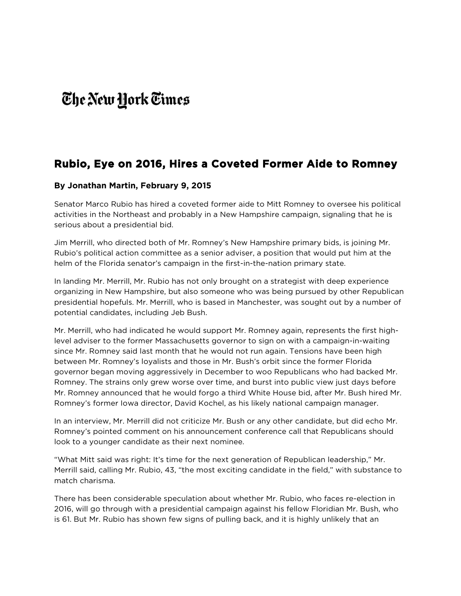## The New York Times

## **[Rubio, Eye on 2016, Hires a Coveted Former Aide to Romney](http://www.nytimes.com/politics/first-draft/2015/02/09/rubio-eye-on-2016-hires-coveted-former-aide-to-romney/)**

## **By Jonathan Martin, February 9, 2015**

Senator Marco Rubio has hired a coveted former aide to Mitt Romney to oversee his political activities in the Northeast and probably in a New Hampshire campaign, signaling that he is serious about a presidential bid.

Jim Merrill, who directed both of Mr. Romney's New Hampshire primary bids, is joining Mr. Rubio's political action committee as a senior adviser, a position that would put him at the helm of the Florida senator's campaign in the first-in-the-nation primary state.

In landing Mr. Merrill, Mr. Rubio has not only brought on a strategist with deep experience organizing in New Hampshire, but also someone who was being pursued by other Republican presidential hopefuls. Mr. Merrill, who is based in Manchester, was sought out by a number of potential candidates, including Jeb Bush.

Mr. Merrill, who had indicated he would support Mr. Romney again, represents the first highlevel adviser to the former Massachusetts governor to sign on with a campaign-in-waiting since Mr. Romney said last month that he would not run again. Tensions have been high between Mr. Romney's loyalists and those in Mr. Bush's orbit since the former Florida governor began moving aggressively in December to woo Republicans who had backed Mr. Romney. The strains only grew worse over time, and burst into public view just days before Mr. Romney announced that he would forgo a third White House bid, after Mr. Bush hired Mr. Romney's former Iowa director, David Kochel, as his likely national campaign manager.

In an interview, Mr. Merrill did not criticize Mr. Bush or any other candidate, but did echo Mr. Romney's pointed comment on his announcement conference call that Republicans should look to a younger candidate as their next nominee.

"What Mitt said was right: It's time for the next generation of Republican leadership," Mr. Merrill said, calling Mr. Rubio, 43, "the most exciting candidate in the field," with substance to match charisma.

There has been considerable speculation about whether Mr. Rubio, who faces re-election in 2016, will go through with a presidential campaign against his fellow Floridian Mr. Bush, who is 61. But Mr. Rubio has shown few signs of pulling back, and it is highly unlikely that an